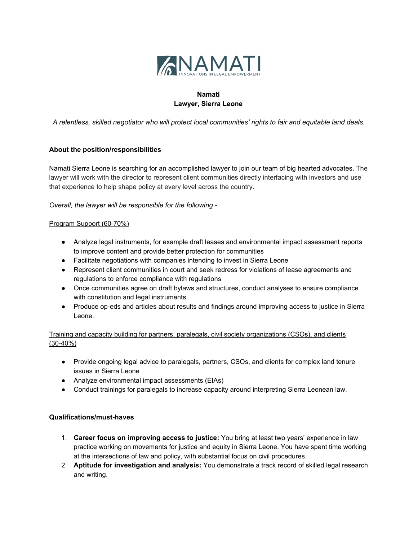

# **Namati Lawyer, Sierra Leone**

*A relentless, skilled negotiator who will protect local communities' rights to fair and equitable land deals.*

# **About the position/responsibilities**

Namati Sierra Leone is searching for an accomplished lawyer to join our team of big hearted advocates. The lawyer will work with the director to represent client communities directly interfacing with investors and use that experience to help shape policy at every level across the country.

*Overall, the lawyer will be responsible for the following -*

# Program Support (60-70%)

- Analyze legal instruments, for example draft leases and environmental impact assessment reports to improve content and provide better protection for communities
- Facilitate negotiations with companies intending to invest in Sierra Leone
- Represent client communities in court and seek redress for violations of lease agreements and regulations to enforce compliance with regulations
- Once communities agree on draft bylaws and structures, conduct analyses to ensure compliance with constitution and legal instruments
- Produce op-eds and articles about results and findings around improving access to justice in Sierra Leone.

Training and capacity building for partners, paralegals, civil society organizations (CSOs), and clients (30-40%)

- Provide ongoing legal advice to paralegals, partners, CSOs, and clients for complex land tenure issues in Sierra Leone
- Analyze environmental impact assessments (EIAs)
- Conduct trainings for paralegals to increase capacity around interpreting Sierra Leonean law.

### **Qualifications/must-haves**

- 1. **Career focus on improving access to justice:** You bring at least two years' experience in law practice working on movements for justice and equity in Sierra Leone. You have spent time working at the intersections of law and policy, with substantial focus on civil procedures.
- 2. **Aptitude for investigation and analysis:** You demonstrate a track record of skilled legal research and writing.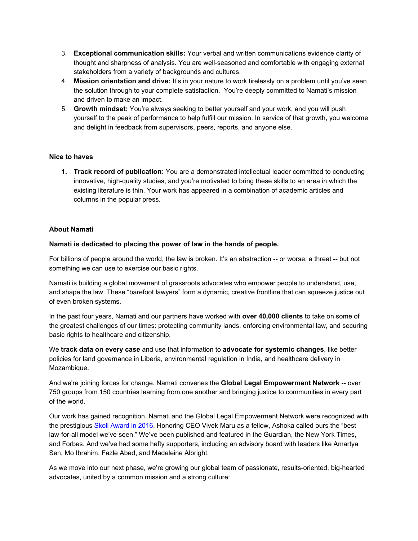- 3. **Exceptional communication skills:** Your verbal and written communications evidence clarity of thought and sharpness of analysis. You are well-seasoned and comfortable with engaging external stakeholders from a variety of backgrounds and cultures.
- 4. **Mission orientation and drive:** It's in your nature to work tirelessly on a problem until you've seen the solution through to your complete satisfaction. You're deeply committed to Namati's mission and driven to make an impact.
- 5. **Growth mindset:** You're always seeking to better yourself and your work, and you will push yourself to the peak of performance to help fulfill our mission. In service of that growth, you welcome and delight in feedback from supervisors, peers, reports, and anyone else.

### **Nice to haves**

**1. Track record of publication:** You are a demonstrated intellectual leader committed to conducting innovative, high-quality studies, and you're motivated to bring these skills to an area in which the existing literature is thin. Your work has appeared in a combination of academic articles and columns in the popular press.

### **About Namati**

### **Namati is dedicated to placing the power of law in the hands of people.**

For billions of people around the world, the law is broken. It's an abstraction -- or worse, a threat -- but not something we can use to exercise our basic rights.

Namati is building a global movement of grassroots advocates who empower people to understand, use, and shape the law. These "barefoot lawyers" form a dynamic, creative frontline that can squeeze justice out of even broken systems.

In the past four years, Namati and our partners have worked with **over 40,000 clients** to take on some of the greatest challenges of our times: protecting community lands, enforcing environmental law, and securing basic rights to healthcare and citizenship.

We **track data on every case** and use that information to **advocate for systemic changes**, like better policies for land governance in Liberia, environmental regulation in India, and healthcare delivery in Mozambique.

And we're joining forces for change. Namati convenes the **Global Legal Empowerment Network** -- over 750 groups from 150 countries learning from one another and bringing justice to communities in every part of the world.

Our work has gained recognition. Namati and the Global Legal Empowerment Network were recognized with the prestigious [Skoll Award in 2016.](https://www.youtube.com/watch?v=L7L7lPGILQ8) Honoring CEO Vivek Maru as a fellow, Ashoka called ours the "best law-for-all model we've seen." We've been published and featured in the Guardian, the New York Times, and Forbes. And we've had some hefty supporters, including an advisory board with leaders like Amartya Sen, Mo Ibrahim, Fazle Abed, and Madeleine Albright.

As we move into our next phase, we're growing our global team of passionate, results-oriented, big-hearted advocates, united by a common mission and a strong culture: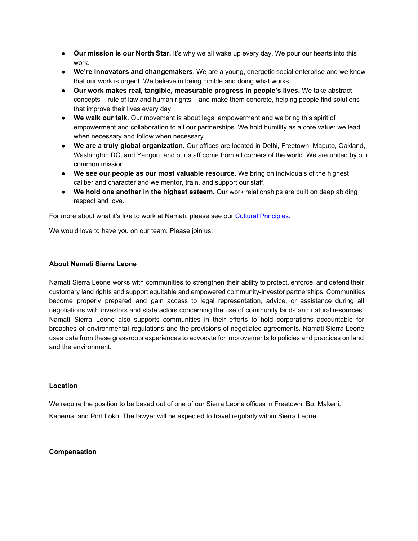- **Ou[r](http://namati.org/about/our-mission/) [mission](http://namati.org/about/our-mission/) is our North Star.** It's why we all wake up every day. We pour our hearts into this work.
- **We're innovators and changemakers**. We are a young, energetic social enterprise and we know that our work is urgent. We believe in being nimble and doing what works.
- **Our work makes real, tangible, measurable progress in people's lives.** We take abstract concepts – rule of law and human rights – and make them concrete, helping people find solutions that improve their lives every day.
- **We walk our talk.** Our movement is about legal empowerment and we bring this spirit of empowerment and collaboration to all our partnerships. We hold humility as a core value: we lead when necessary and follow when necessary.
- **We are a truly global organization.** Our offices are located in Delhi, Freetown, Maputo, Oakland, Washington DC, and Yangon, and our staff come from all corners of the world. We are united by our common mission.
- **We see our people as our most valuable resource.** We bring on individuals of the highest caliber and character and we mentor, train, and support our staff.
- **We hold one another in the highest esteem.** Our work relationships are built on deep abiding respect and love.

For more about what it's like to work at Namati, please see our [Cultural Principles.](https://namati.org/wp-content/uploads/2015/01/cultural-principles.pdf)

We would love to have you on our team. Please join us.

### **About Namati Sierra Leone**

Namati Sierra Leone works with communities to strengthen their ability to protect, enforce, and defend their customary land rights and support equitable and empowered community-investor partnerships. Communities become properly prepared and gain access to legal representation, advice, or assistance during all negotiations with investors and state actors concerning the use of community lands and natural resources. Namati Sierra Leone also supports communities in their efforts to hold corporations accountable for breaches of environmental regulations and the provisions of negotiated agreements. Namati Sierra Leone uses data from these grassroots experiences to advocate for improvements to policies and practices on land and the environment.

#### **Location**

We require the position to be based out of one of our Sierra Leone offices in Freetown, Bo, Makeni, Kenema, and Port Loko. The lawyer will be expected to travel regularly within Sierra Leone.

#### **Compensation**